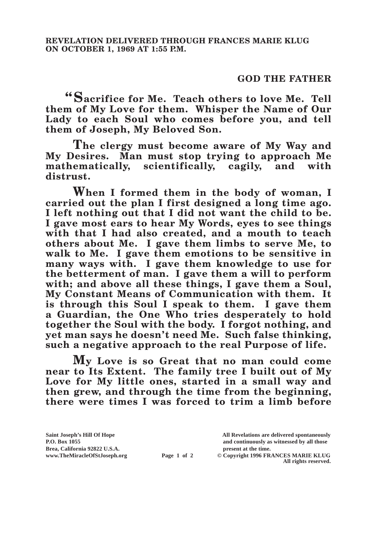## **GOD THE FATHER**

**"Sacrifice for Me. Teach others to love Me. Tell them of My Love for them. Whisper the Name of Our Lady to each Soul who comes before you, and tell them of Joseph, My Beloved Son.**

**The clergy must become aware of My Way and My Desires. Man must stop trying to approach Me mathematically, scientifically, cagily, and with distrust.**

**When I formed them in the body of woman, I carried out the plan I first designed a long time ago. I left nothing out that I did not want the child to be. I gave most ears to hear My Words, eyes to see things with that I had also created, and a mouth to teach others about Me. I gave them limbs to serve Me, to walk to Me. I gave them emotions to be sensitive in many ways with. I gave them knowledge to use for the betterment of man. I gave them a will to perform with; and above all these things, I gave them a Soul, My Constant Means of Communication with them. It is through this Soul I speak to them. I gave them a Guardian, the One Who tries desperately to hold together the Soul with the body. I forgot nothing, and yet man says he doesn't need Me. Such false thinking, such a negative approach to the real Purpose of life.** 

**My Love is so Great that no man could come near to Its Extent. The family tree I built out of My Love for My little ones, started in a small way and then grew, and through the time from the beginning, there were times I was forced to trim a limb before** 

**All rights reserved.**